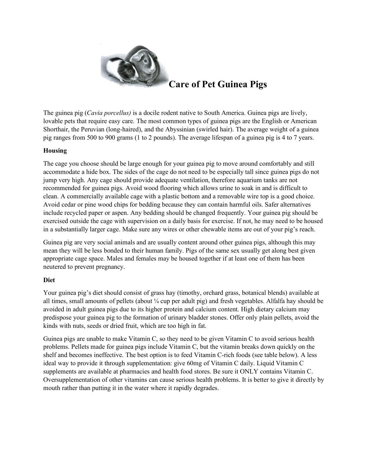

# **Care of Pet Guinea Pigs**

The guinea pig (*Cavia porcellus)* is a docile rodent native to South America. Guinea pigs are lively, lovable pets that require easy care. The most common types of guinea pigs are the English or American Shorthair, the Peruvian (long-haired), and the Abyssinian (swirled hair). The average weight of a guinea pig ranges from 500 to 900 grams (1 to 2 pounds). The average lifespan of a guinea pig is 4 to 7 years.

## **Housing**

The cage you choose should be large enough for your guinea pig to move around comfortably and still accommodate a hide box. The sides of the cage do not need to be especially tall since guinea pigs do not jump very high. Any cage should provide adequate ventilation, therefore aquarium tanks are not recommended for guinea pigs. Avoid wood flooring which allows urine to soak in and is difficult to clean. A commercially available cage with a plastic bottom and a removable wire top is a good choice. Avoid cedar or pine wood chips for bedding because they can contain harmful oils. Safer alternatives include recycled paper or aspen. Any bedding should be changed frequently. Your guinea pig should be exercised outside the cage with supervision on a daily basis for exercise. If not, he may need to be housed in a substantially larger cage. Make sure any wires or other chewable items are out of your pig's reach.

Guinea pig are very social animals and are usually content around other guinea pigs, although this may mean they will be less bonded to their human family. Pigs of the same sex usually get along best given appropriate cage space. Males and females may be housed together if at least one of them has been neutered to prevent pregnancy.

## **Diet**

Your guinea pig's diet should consist of grass hay (timothy, orchard grass, botanical blends) available at all times, small amounts of pellets (about ¼ cup per adult pig) and fresh vegetables. Alfalfa hay should be avoided in adult guinea pigs due to its higher protein and calcium content. High dietary calcium may predispose your guinea pig to the formation of urinary bladder stones. Offer only plain pellets, avoid the kinds with nuts, seeds or dried fruit, which are too high in fat.

Guinea pigs are unable to make Vitamin C, so they need to be given Vitamin C to avoid serious health problems. Pellets made for guinea pigs include Vitamin C, but the vitamin breaks down quickly on the shelf and becomes ineffective. The best option is to feed Vitamin C-rich foods (see table below). A less ideal way to provide it through supplementation: give 60mg of Vitamin C daily. Liquid Vitamin C supplements are available at pharmacies and health food stores. Be sure it ONLY contains Vitamin C. Oversupplementation of other vitamins can cause serious health problems. It is better to give it directly by mouth rather than putting it in the water where it rapidly degrades.